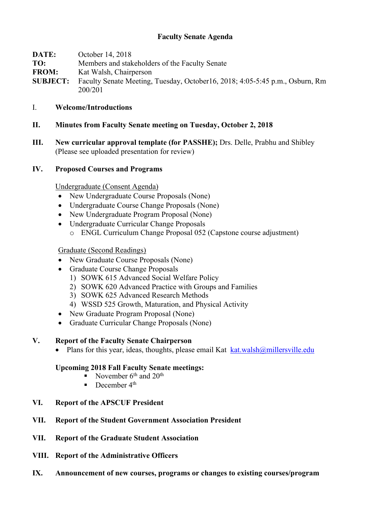## **Faculty Senate Agenda**

| DATE:           | October 14, 2018                                                              |
|-----------------|-------------------------------------------------------------------------------|
| TO:             | Members and stakeholders of the Faculty Senate                                |
| <b>FROM:</b>    | Kat Walsh, Chairperson                                                        |
| <b>SUBJECT:</b> | Faculty Senate Meeting, Tuesday, October 16, 2018; 4:05-5:45 p.m., Osburn, Rm |
|                 | 200/201                                                                       |

- I. **Welcome/Introductions**
- **II. Minutes from Faculty Senate meeting on Tuesday, October 2, 2018**
- **III. New curricular approval template (for PASSHE);** Drs. Delle, Prabhu and Shibley (Please see uploaded presentation for review)

### **IV. Proposed Courses and Programs**

Undergraduate (Consent Agenda)

- New Undergraduate Course Proposals (None)
- Undergraduate Course Change Proposals (None)
- New Undergraduate Program Proposal (None)
- Undergraduate Curricular Change Proposals
	- o ENGL Curriculum Change Proposal 052 (Capstone course adjustment)

### Graduate (Second Readings)

- New Graduate Course Proposals (None)
- Graduate Course Change Proposals
	- 1) SOWK 615 Advanced Social Welfare Policy
	- 2) SOWK 620 Advanced Practice with Groups and Families
	- 3) SOWK 625 Advanced Research Methods
	- 4) WSSD 525 Growth, Maturation, and Physical Activity
- New Graduate Program Proposal (None)
- Graduate Curricular Change Proposals (None)

## **V. Report of the Faculty Senate Chairperson**

• Plans for this year, ideas, thoughts, please email Kat  $k$ at.walsh $@$ millersville.edu

#### **Upcoming 2018 Fall Faculty Senate meetings:**

- November  $6<sup>th</sup>$  and  $20<sup>th</sup>$
- December  $4<sup>th</sup>$
- **VI. Report of the APSCUF President**
- **VII. Report of the Student Government Association President**
- **VII. Report of the Graduate Student Association**
- **VIII. Report of the Administrative Officers**
- **IX. Announcement of new courses, programs or changes to existing courses/program**